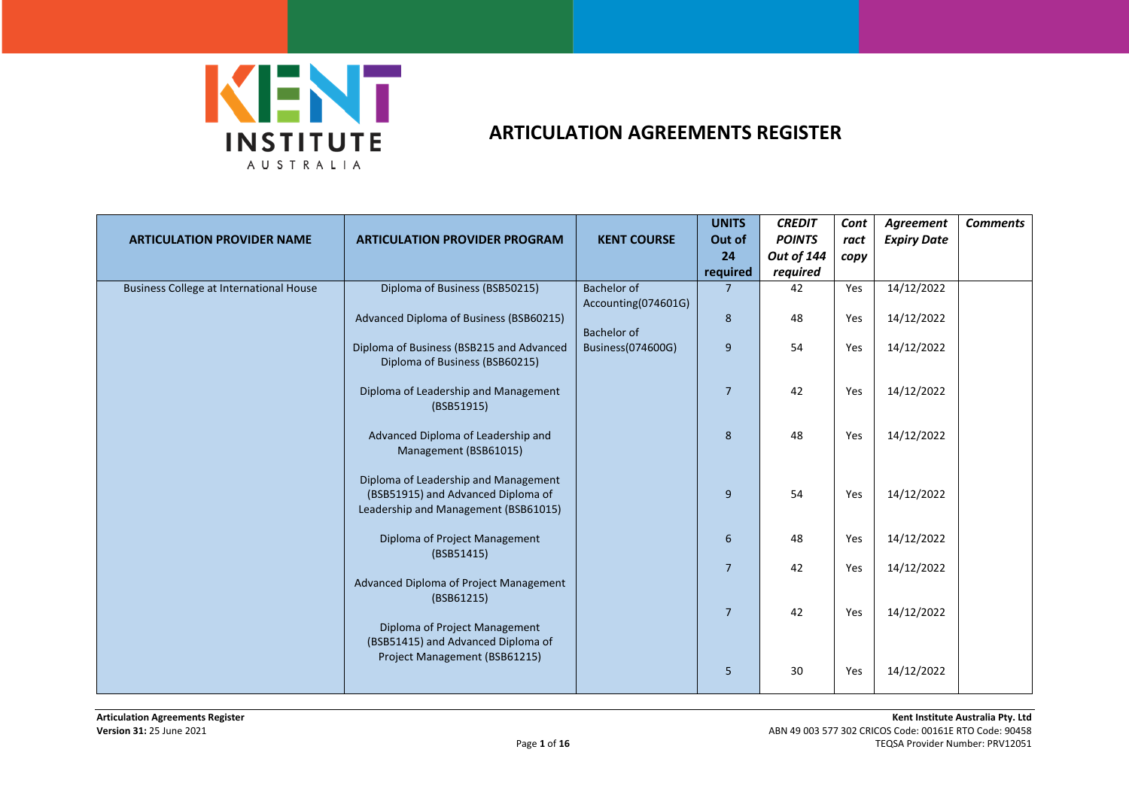

|                                                |                                          |                     | <b>UNITS</b>   | <b>CREDIT</b>     | Cont | Agreement          | <b>Comments</b> |
|------------------------------------------------|------------------------------------------|---------------------|----------------|-------------------|------|--------------------|-----------------|
| <b>ARTICULATION PROVIDER NAME</b>              | <b>ARTICULATION PROVIDER PROGRAM</b>     | <b>KENT COURSE</b>  | Out of         | <b>POINTS</b>     | ract | <b>Expiry Date</b> |                 |
|                                                |                                          |                     | 24             | <b>Out of 144</b> | copy |                    |                 |
|                                                |                                          |                     | required       | required          |      |                    |                 |
| <b>Business College at International House</b> | Diploma of Business (BSB50215)           | <b>Bachelor of</b>  | $\overline{7}$ | 42                | Yes  | 14/12/2022         |                 |
|                                                |                                          | Accounting(074601G) |                |                   |      |                    |                 |
|                                                | Advanced Diploma of Business (BSB60215)  |                     | 8              | 48                | Yes  | 14/12/2022         |                 |
|                                                |                                          | Bachelor of         |                |                   |      |                    |                 |
|                                                | Diploma of Business (BSB215 and Advanced | Business(074600G)   | 9              | 54                | Yes  | 14/12/2022         |                 |
|                                                | Diploma of Business (BSB60215)           |                     |                |                   |      |                    |                 |
|                                                | Diploma of Leadership and Management     |                     | $\overline{7}$ | 42                | Yes  | 14/12/2022         |                 |
|                                                | (BSB51915)                               |                     |                |                   |      |                    |                 |
|                                                |                                          |                     |                |                   |      |                    |                 |
|                                                | Advanced Diploma of Leadership and       |                     | 8              | 48                | Yes  | 14/12/2022         |                 |
|                                                | Management (BSB61015)                    |                     |                |                   |      |                    |                 |
|                                                |                                          |                     |                |                   |      |                    |                 |
|                                                | Diploma of Leadership and Management     |                     |                |                   |      |                    |                 |
|                                                | (BSB51915) and Advanced Diploma of       |                     | 9              | 54                | Yes  | 14/12/2022         |                 |
|                                                | Leadership and Management (BSB61015)     |                     |                |                   |      |                    |                 |
|                                                |                                          |                     |                |                   |      |                    |                 |
|                                                | Diploma of Project Management            |                     | 6              | 48                | Yes  | 14/12/2022         |                 |
|                                                | (BSB51415)                               |                     | $\overline{7}$ | 42                | Yes  | 14/12/2022         |                 |
|                                                | Advanced Diploma of Project Management   |                     |                |                   |      |                    |                 |
|                                                | (BSB61215)                               |                     |                |                   |      |                    |                 |
|                                                |                                          |                     | $\overline{7}$ | 42                | Yes  | 14/12/2022         |                 |
|                                                | Diploma of Project Management            |                     |                |                   |      |                    |                 |
|                                                | (BSB51415) and Advanced Diploma of       |                     |                |                   |      |                    |                 |
|                                                | Project Management (BSB61215)            |                     |                |                   |      |                    |                 |
|                                                |                                          |                     | 5              | 30                | Yes  | 14/12/2022         |                 |
|                                                |                                          |                     |                |                   |      |                    |                 |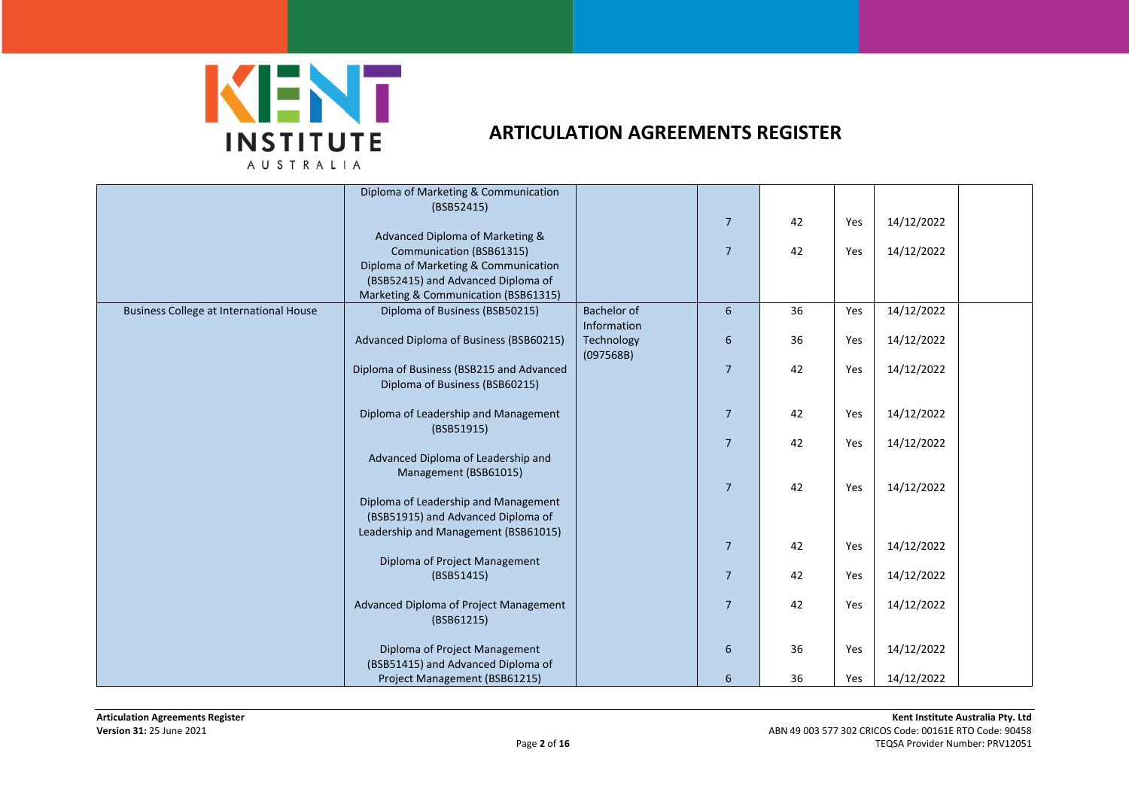

|                                                | Diploma of Marketing & Communication               |                    |                  |    |     |            |  |
|------------------------------------------------|----------------------------------------------------|--------------------|------------------|----|-----|------------|--|
|                                                | (BSB52415)                                         |                    |                  |    |     |            |  |
|                                                |                                                    |                    | $\overline{7}$   | 42 | Yes | 14/12/2022 |  |
|                                                | Advanced Diploma of Marketing &                    |                    |                  |    |     |            |  |
|                                                | Communication (BSB61315)                           |                    | $\overline{7}$   | 42 | Yes | 14/12/2022 |  |
|                                                | Diploma of Marketing & Communication               |                    |                  |    |     |            |  |
|                                                | (BSB52415) and Advanced Diploma of                 |                    |                  |    |     |            |  |
|                                                | Marketing & Communication (BSB61315)               |                    |                  |    |     |            |  |
| <b>Business College at International House</b> | Diploma of Business (BSB50215)                     | <b>Bachelor of</b> | $6\phantom{.}6$  | 36 | Yes | 14/12/2022 |  |
|                                                |                                                    | Information        |                  |    |     |            |  |
|                                                | Advanced Diploma of Business (BSB60215)            | Technology         | $\boldsymbol{6}$ | 36 | Yes | 14/12/2022 |  |
|                                                |                                                    | (097568B)          |                  |    |     |            |  |
|                                                | Diploma of Business (BSB215 and Advanced           |                    | $\overline{7}$   | 42 | Yes | 14/12/2022 |  |
|                                                | Diploma of Business (BSB60215)                     |                    |                  |    |     |            |  |
|                                                |                                                    |                    |                  | 42 | Yes | 14/12/2022 |  |
|                                                | Diploma of Leadership and Management<br>(BSB51915) |                    | $\overline{7}$   |    |     |            |  |
|                                                |                                                    |                    | $\overline{7}$   | 42 | Yes | 14/12/2022 |  |
|                                                | Advanced Diploma of Leadership and                 |                    |                  |    |     |            |  |
|                                                | Management (BSB61015)                              |                    |                  |    |     |            |  |
|                                                |                                                    |                    | 7                | 42 | Yes | 14/12/2022 |  |
|                                                | Diploma of Leadership and Management               |                    |                  |    |     |            |  |
|                                                | (BSB51915) and Advanced Diploma of                 |                    |                  |    |     |            |  |
|                                                | Leadership and Management (BSB61015)               |                    |                  |    |     |            |  |
|                                                |                                                    |                    | $\overline{7}$   | 42 | Yes | 14/12/2022 |  |
|                                                | Diploma of Project Management                      |                    |                  |    |     |            |  |
|                                                | (BSB51415)                                         |                    | $\overline{7}$   | 42 | Yes | 14/12/2022 |  |
|                                                |                                                    |                    |                  |    |     |            |  |
|                                                | Advanced Diploma of Project Management             |                    | $\overline{7}$   | 42 | Yes | 14/12/2022 |  |
|                                                | (BSB61215)                                         |                    |                  |    |     |            |  |
|                                                |                                                    |                    |                  |    |     |            |  |
|                                                | Diploma of Project Management                      |                    | $\boldsymbol{6}$ | 36 | Yes | 14/12/2022 |  |
|                                                | (BSB51415) and Advanced Diploma of                 |                    |                  |    |     |            |  |
|                                                | Project Management (BSB61215)                      |                    | 6                | 36 | Yes | 14/12/2022 |  |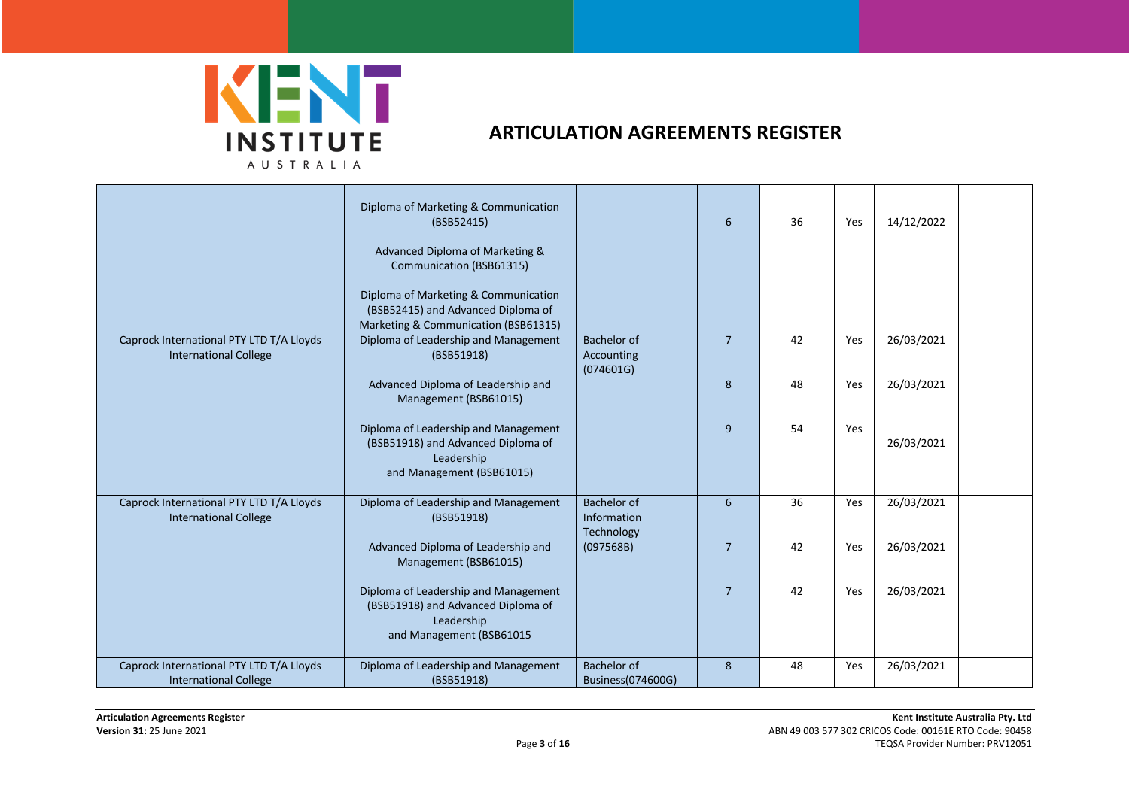

|                                                                          | Diploma of Marketing & Communication<br>(BSB52415)<br>Advanced Diploma of Marketing &<br>Communication (BSB61315)<br>Diploma of Marketing & Communication<br>(BSB52415) and Advanced Diploma of<br>Marketing & Communication (BSB61315) |                                                 | 6              | 36 | Yes | 14/12/2022 |
|--------------------------------------------------------------------------|-----------------------------------------------------------------------------------------------------------------------------------------------------------------------------------------------------------------------------------------|-------------------------------------------------|----------------|----|-----|------------|
| Caprock International PTY LTD T/A Lloyds<br><b>International College</b> | Diploma of Leadership and Management<br>(BSB51918)                                                                                                                                                                                      | <b>Bachelor of</b><br>Accounting<br>(074601G)   | $\overline{7}$ | 42 | Yes | 26/03/2021 |
|                                                                          | Advanced Diploma of Leadership and<br>Management (BSB61015)                                                                                                                                                                             |                                                 | 8              | 48 | Yes | 26/03/2021 |
|                                                                          | Diploma of Leadership and Management<br>(BSB51918) and Advanced Diploma of<br>Leadership<br>and Management (BSB61015)                                                                                                                   |                                                 | 9              | 54 | Yes | 26/03/2021 |
| Caprock International PTY LTD T/A Lloyds<br><b>International College</b> | Diploma of Leadership and Management<br>(BSB51918)                                                                                                                                                                                      | <b>Bachelor of</b><br>Information<br>Technology | 6              | 36 | Yes | 26/03/2021 |
|                                                                          | Advanced Diploma of Leadership and<br>Management (BSB61015)                                                                                                                                                                             | (097568B)                                       | $\overline{7}$ | 42 | Yes | 26/03/2021 |
|                                                                          | Diploma of Leadership and Management<br>(BSB51918) and Advanced Diploma of<br>Leadership<br>and Management (BSB61015                                                                                                                    |                                                 | $\overline{7}$ | 42 | Yes | 26/03/2021 |
| Caprock International PTY LTD T/A Lloyds<br><b>International College</b> | Diploma of Leadership and Management<br>(BSB51918)                                                                                                                                                                                      | Bachelor of<br>Business(074600G)                | 8              | 48 | Yes | 26/03/2021 |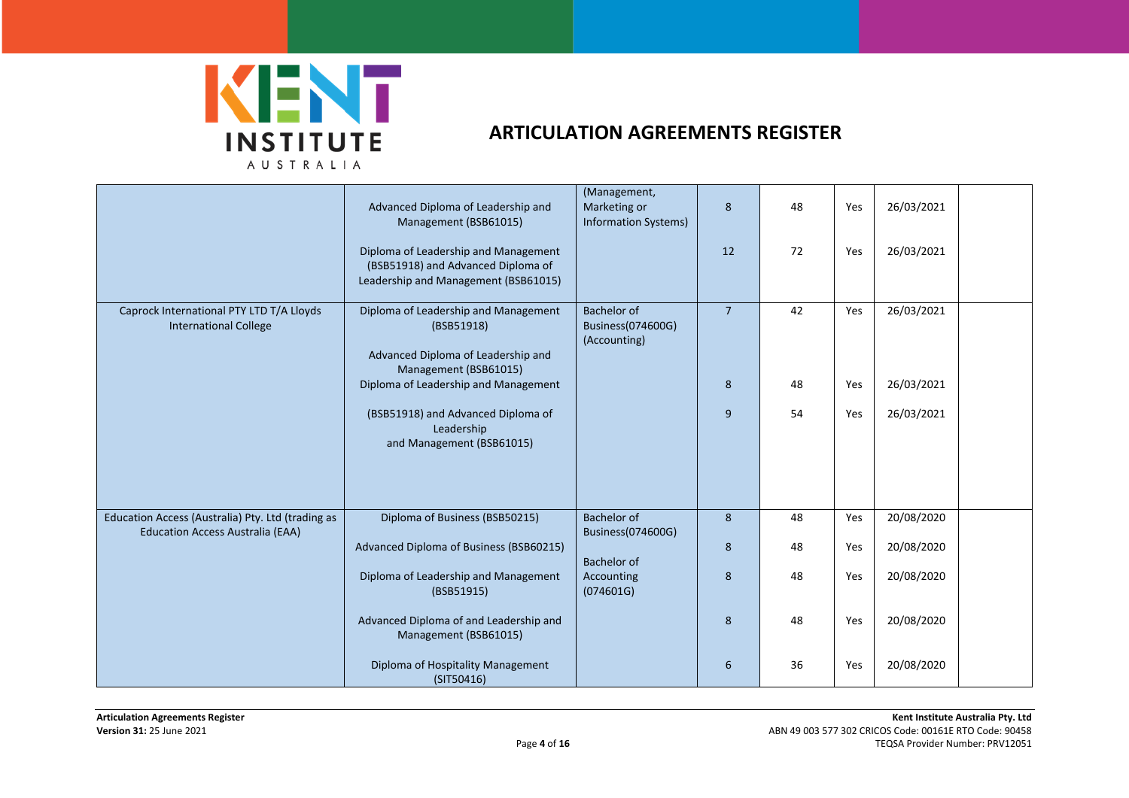

|                                                                          | Advanced Diploma of Leadership and<br>Management (BSB61015)                                                        | (Management,<br>Marketing or<br><b>Information Systems)</b> | 8              | 48 | Yes | 26/03/2021 |  |
|--------------------------------------------------------------------------|--------------------------------------------------------------------------------------------------------------------|-------------------------------------------------------------|----------------|----|-----|------------|--|
|                                                                          | Diploma of Leadership and Management<br>(BSB51918) and Advanced Diploma of<br>Leadership and Management (BSB61015) |                                                             | 12             | 72 | Yes | 26/03/2021 |  |
| Caprock International PTY LTD T/A Lloyds<br><b>International College</b> | Diploma of Leadership and Management<br>(BSB51918)<br>Advanced Diploma of Leadership and<br>Management (BSB61015)  | Bachelor of<br>Business(074600G)<br>(Accounting)            | $\overline{7}$ | 42 | Yes | 26/03/2021 |  |
|                                                                          | Diploma of Leadership and Management                                                                               |                                                             | 8              | 48 | Yes | 26/03/2021 |  |
|                                                                          | (BSB51918) and Advanced Diploma of<br>Leadership<br>and Management (BSB61015)                                      |                                                             | 9              | 54 | Yes | 26/03/2021 |  |
| Education Access (Australia) Pty. Ltd (trading as                        | Diploma of Business (BSB50215)                                                                                     | Bachelor of                                                 | 8              | 48 | Yes | 20/08/2020 |  |
| <b>Education Access Australia (EAA)</b>                                  | Advanced Diploma of Business (BSB60215)                                                                            | Business(074600G)<br><b>Bachelor of</b>                     | 8              | 48 | Yes | 20/08/2020 |  |
|                                                                          | Diploma of Leadership and Management<br>(BSB51915)                                                                 | Accounting<br>(074601G)                                     | 8              | 48 | Yes | 20/08/2020 |  |
|                                                                          | Advanced Diploma of and Leadership and<br>Management (BSB61015)                                                    |                                                             | 8              | 48 | Yes | 20/08/2020 |  |
|                                                                          | Diploma of Hospitality Management<br>(SIT50416)                                                                    |                                                             | 6              | 36 | Yes | 20/08/2020 |  |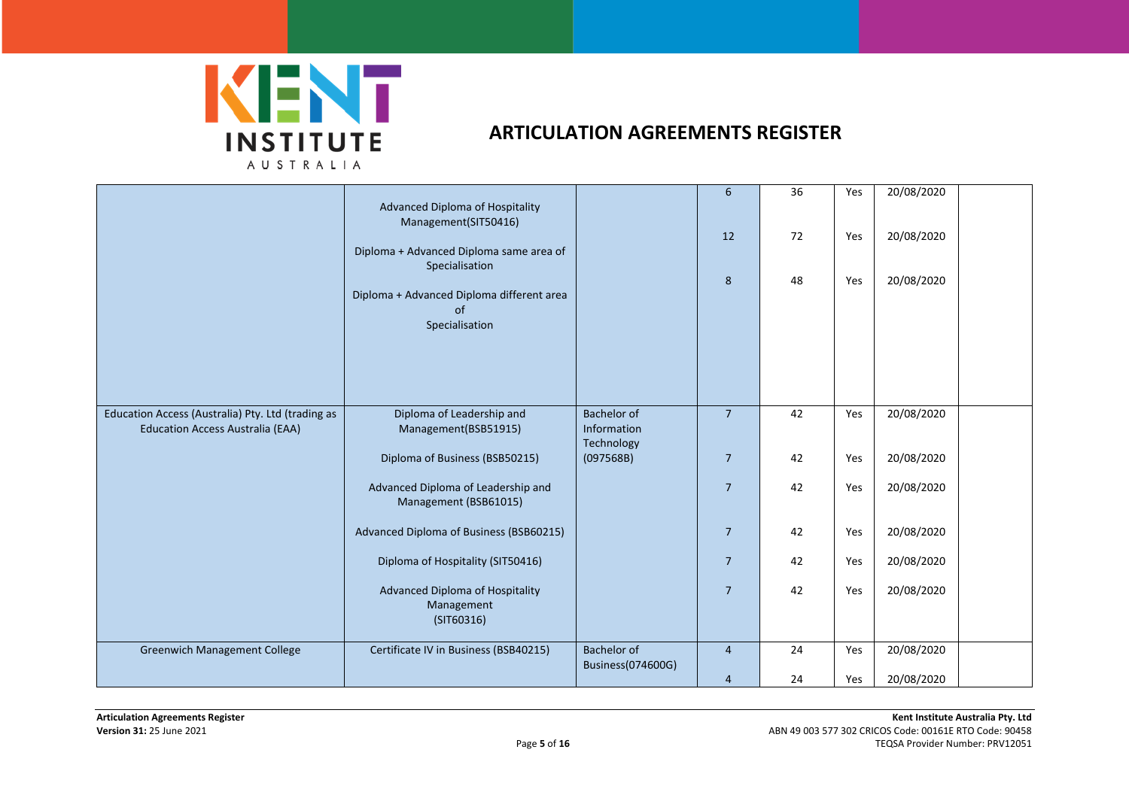

|                                                                                              | Advanced Diploma of Hospitality<br>Management(SIT50416)<br>Diploma + Advanced Diploma same area of<br>Specialisation<br>Diploma + Advanced Diploma different area<br>of<br>Specialisation |                                                 | 6<br>12<br>8   | 36<br>72<br>48 | Yes<br>Yes<br>Yes | 20/08/2020<br>20/08/2020<br>20/08/2020 |
|----------------------------------------------------------------------------------------------|-------------------------------------------------------------------------------------------------------------------------------------------------------------------------------------------|-------------------------------------------------|----------------|----------------|-------------------|----------------------------------------|
| Education Access (Australia) Pty. Ltd (trading as<br><b>Education Access Australia (EAA)</b> | Diploma of Leadership and<br>Management(BSB51915)                                                                                                                                         | <b>Bachelor of</b><br>Information<br>Technology | $\overline{7}$ | 42             | Yes               | 20/08/2020                             |
|                                                                                              | Diploma of Business (BSB50215)                                                                                                                                                            | (097568B)                                       | $\overline{7}$ | 42             | Yes               | 20/08/2020                             |
|                                                                                              | Advanced Diploma of Leadership and<br>Management (BSB61015)                                                                                                                               |                                                 | $\overline{7}$ | 42             | Yes               | 20/08/2020                             |
|                                                                                              | Advanced Diploma of Business (BSB60215)                                                                                                                                                   |                                                 | $\overline{7}$ | 42             | Yes               | 20/08/2020                             |
|                                                                                              | Diploma of Hospitality (SIT50416)                                                                                                                                                         |                                                 | $\overline{7}$ | 42             | Yes               | 20/08/2020                             |
|                                                                                              | Advanced Diploma of Hospitality<br>Management<br>(SIT60316)                                                                                                                               |                                                 | $\overline{7}$ | 42             | Yes               | 20/08/2020                             |
| <b>Greenwich Management College</b>                                                          | Certificate IV in Business (BSB40215)                                                                                                                                                     | Bachelor of<br>Business(074600G)                | $\overline{4}$ | 24             | Yes               | 20/08/2020                             |
|                                                                                              |                                                                                                                                                                                           |                                                 | 4              | 24             | Yes               | 20/08/2020                             |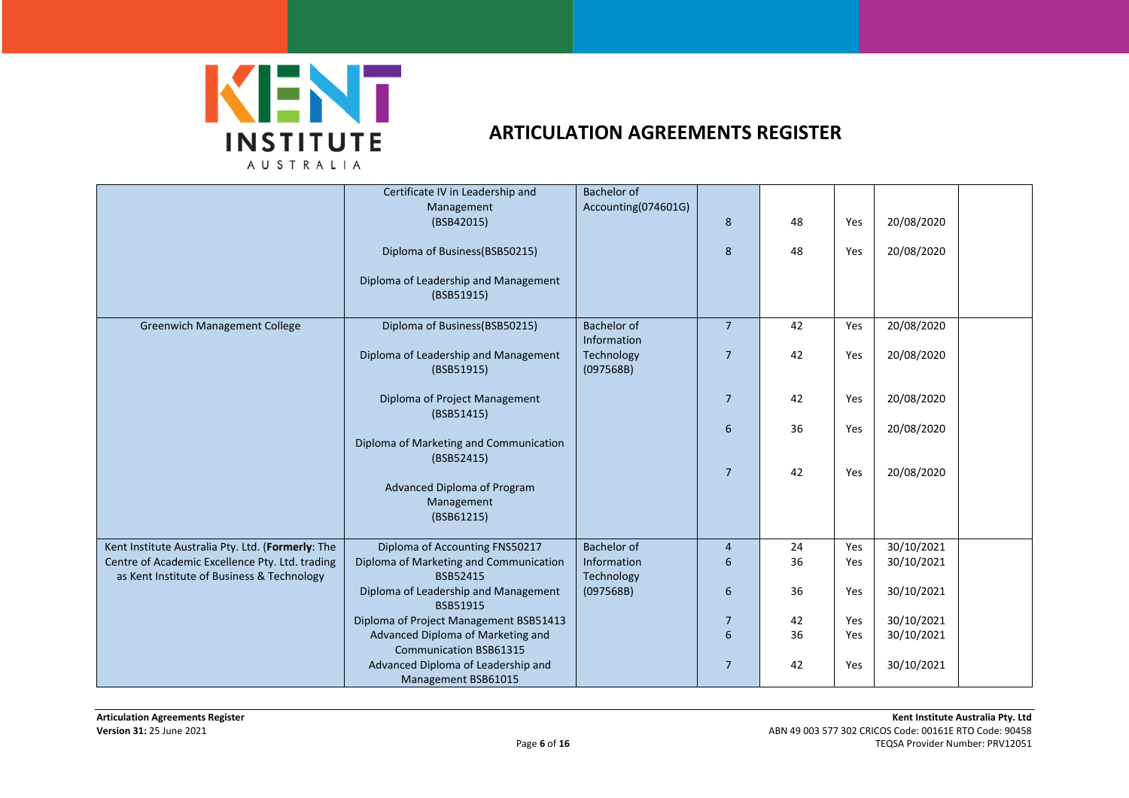

|                                                                                               | Certificate IV in Leadership and<br>Management<br>(BSB42015)       | <b>Bachelor of</b><br>Accounting(074601G) | 8              | 48 | Yes | 20/08/2020 |  |
|-----------------------------------------------------------------------------------------------|--------------------------------------------------------------------|-------------------------------------------|----------------|----|-----|------------|--|
|                                                                                               |                                                                    |                                           |                |    |     |            |  |
|                                                                                               | Diploma of Business (BSB50215)                                     |                                           | 8              | 48 | Yes | 20/08/2020 |  |
|                                                                                               | Diploma of Leadership and Management<br>(BSB51915)                 |                                           |                |    |     |            |  |
| <b>Greenwich Management College</b>                                                           | Diploma of Business (BSB50215)                                     | <b>Bachelor of</b><br>Information         | $\overline{7}$ | 42 | Yes | 20/08/2020 |  |
|                                                                                               | Diploma of Leadership and Management<br>(BSB51915)                 | Technology<br>(097568B)                   | $\overline{7}$ | 42 | Yes | 20/08/2020 |  |
|                                                                                               | Diploma of Project Management<br>(BSB51415)                        |                                           | $\overline{7}$ | 42 | Yes | 20/08/2020 |  |
|                                                                                               | Diploma of Marketing and Communication                             |                                           | 6              | 36 | Yes | 20/08/2020 |  |
|                                                                                               | (BSB52415)                                                         |                                           | $\overline{7}$ | 42 | Yes | 20/08/2020 |  |
|                                                                                               | Advanced Diploma of Program<br>Management<br>(BSB61215)            |                                           |                |    |     |            |  |
| Kent Institute Australia Pty. Ltd. (Formerly: The                                             | Diploma of Accounting FNS50217                                     | <b>Bachelor of</b>                        | $\overline{4}$ | 24 | Yes | 30/10/2021 |  |
| Centre of Academic Excellence Pty. Ltd. trading<br>as Kent Institute of Business & Technology | Diploma of Marketing and Communication<br>BSB52415                 | Information<br>Technology                 | 6              | 36 | Yes | 30/10/2021 |  |
|                                                                                               | Diploma of Leadership and Management<br>BSB51915                   | (097568B)                                 | 6              | 36 | Yes | 30/10/2021 |  |
|                                                                                               | Diploma of Project Management BSB51413                             |                                           | $\overline{7}$ | 42 | Yes | 30/10/2021 |  |
|                                                                                               | Advanced Diploma of Marketing and<br><b>Communication BSB61315</b> |                                           | 6              | 36 | Yes | 30/10/2021 |  |
|                                                                                               | Advanced Diploma of Leadership and<br>Management BSB61015          |                                           | $\overline{7}$ | 42 | Yes | 30/10/2021 |  |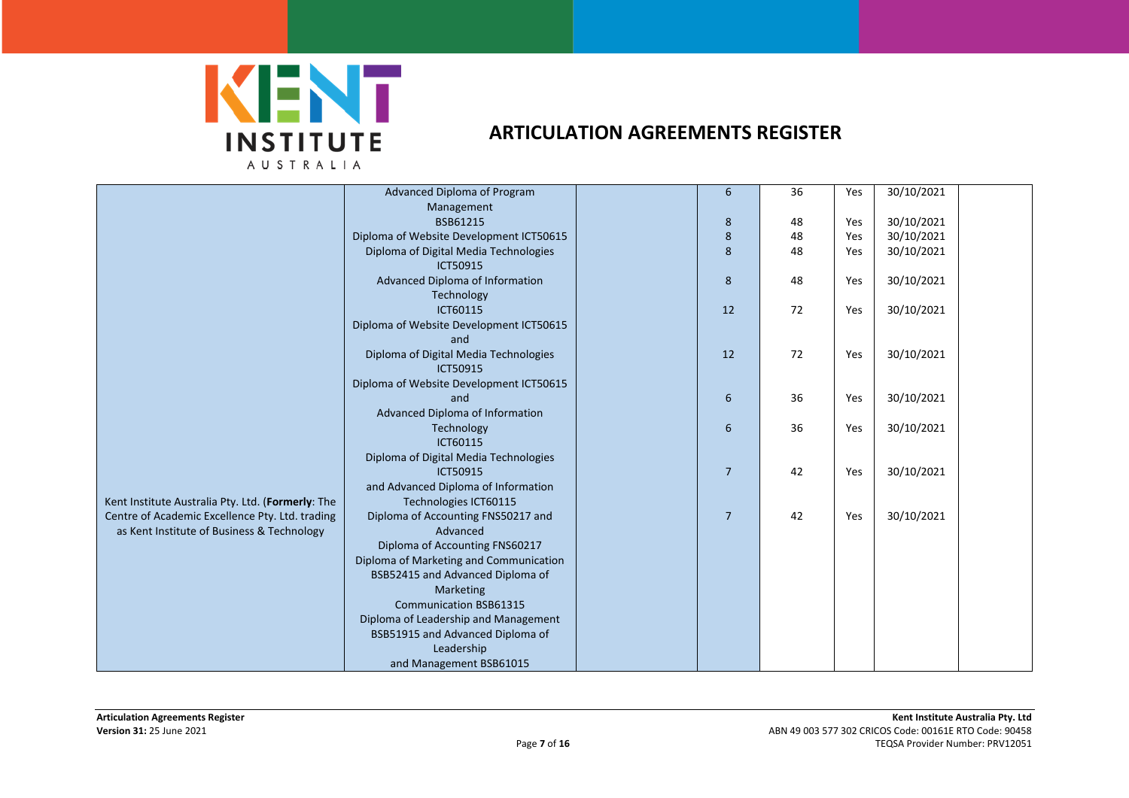

|                                                   | Advanced Diploma of Program             | 6              | 36 | Yes | 30/10/2021 |  |
|---------------------------------------------------|-----------------------------------------|----------------|----|-----|------------|--|
|                                                   | Management                              |                |    |     |            |  |
|                                                   | BSB61215                                | 8              | 48 | Yes | 30/10/2021 |  |
|                                                   | Diploma of Website Development ICT50615 | 8              | 48 | Yes | 30/10/2021 |  |
|                                                   | Diploma of Digital Media Technologies   | 8              | 48 | Yes | 30/10/2021 |  |
|                                                   | ICT50915                                |                |    |     |            |  |
|                                                   | Advanced Diploma of Information         | 8              | 48 | Yes | 30/10/2021 |  |
|                                                   | Technology                              |                |    |     |            |  |
|                                                   | ICT60115                                | 12             | 72 | Yes | 30/10/2021 |  |
|                                                   | Diploma of Website Development ICT50615 |                |    |     |            |  |
|                                                   | and                                     |                |    |     |            |  |
|                                                   | Diploma of Digital Media Technologies   | 12             | 72 | Yes | 30/10/2021 |  |
|                                                   | ICT50915                                |                |    |     |            |  |
|                                                   | Diploma of Website Development ICT50615 |                |    |     |            |  |
|                                                   | and                                     | 6              | 36 | Yes | 30/10/2021 |  |
|                                                   | Advanced Diploma of Information         |                |    |     |            |  |
|                                                   | Technology                              | 6              | 36 | Yes | 30/10/2021 |  |
|                                                   | ICT60115                                |                |    |     |            |  |
|                                                   | Diploma of Digital Media Technologies   |                |    |     |            |  |
|                                                   | ICT50915                                | $\overline{7}$ | 42 | Yes | 30/10/2021 |  |
|                                                   | and Advanced Diploma of Information     |                |    |     |            |  |
| Kent Institute Australia Pty. Ltd. (Formerly: The | Technologies ICT60115                   |                |    |     |            |  |
| Centre of Academic Excellence Pty. Ltd. trading   | Diploma of Accounting FNS50217 and      | $\overline{7}$ | 42 | Yes | 30/10/2021 |  |
| as Kent Institute of Business & Technology        | Advanced                                |                |    |     |            |  |
|                                                   | Diploma of Accounting FNS60217          |                |    |     |            |  |
|                                                   |                                         |                |    |     |            |  |
|                                                   | Diploma of Marketing and Communication  |                |    |     |            |  |
|                                                   | BSB52415 and Advanced Diploma of        |                |    |     |            |  |
|                                                   | <b>Marketing</b>                        |                |    |     |            |  |
|                                                   | <b>Communication BSB61315</b>           |                |    |     |            |  |
|                                                   | Diploma of Leadership and Management    |                |    |     |            |  |
|                                                   | BSB51915 and Advanced Diploma of        |                |    |     |            |  |
|                                                   | Leadership                              |                |    |     |            |  |
|                                                   | and Management BSB61015                 |                |    |     |            |  |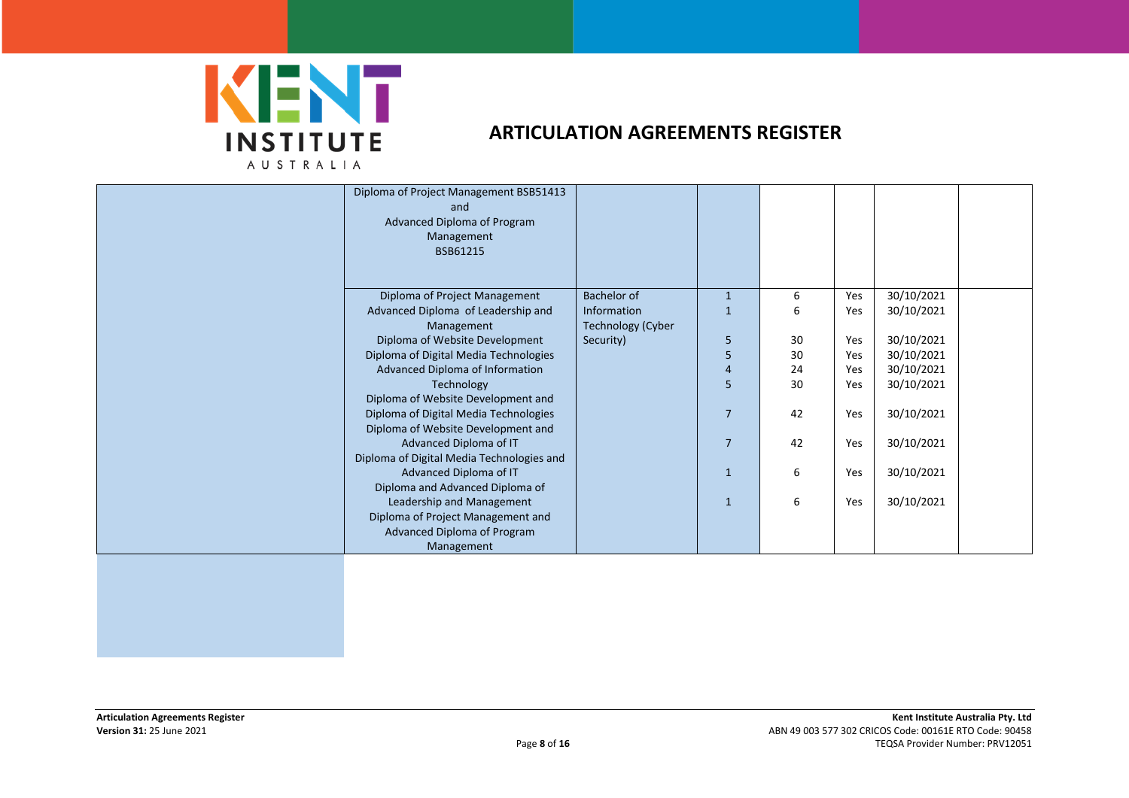

| Diploma of Project Management BSB51413<br>and<br>Advanced Diploma of Program<br>Management<br>BSB61215 |                          |                |    |     |            |  |
|--------------------------------------------------------------------------------------------------------|--------------------------|----------------|----|-----|------------|--|
| Diploma of Project Management                                                                          | Bachelor of              | $\mathbf{1}$   | 6  | Yes | 30/10/2021 |  |
| Advanced Diploma of Leadership and                                                                     | Information              |                | 6  | Yes | 30/10/2021 |  |
| Management                                                                                             | <b>Technology (Cyber</b> |                |    |     |            |  |
| Diploma of Website Development                                                                         | Security)                | 5              | 30 | Yes | 30/10/2021 |  |
| Diploma of Digital Media Technologies                                                                  |                          | 5              | 30 | Yes | 30/10/2021 |  |
| Advanced Diploma of Information                                                                        |                          | $\overline{4}$ | 24 | Yes | 30/10/2021 |  |
| Technology                                                                                             |                          | 5              | 30 | Yes | 30/10/2021 |  |
| Diploma of Website Development and                                                                     |                          |                |    |     |            |  |
| Diploma of Digital Media Technologies                                                                  |                          | $\overline{7}$ | 42 | Yes | 30/10/2021 |  |
| Diploma of Website Development and                                                                     |                          |                |    |     |            |  |
| Advanced Diploma of IT                                                                                 |                          | $\overline{7}$ | 42 | Yes | 30/10/2021 |  |
| Diploma of Digital Media Technologies and                                                              |                          |                |    |     |            |  |
| Advanced Diploma of IT                                                                                 |                          | 1              | 6  | Yes | 30/10/2021 |  |
| Diploma and Advanced Diploma of                                                                        |                          |                |    |     |            |  |
| Leadership and Management                                                                              |                          | $\mathbf{1}$   | 6  | Yes | 30/10/2021 |  |
| Diploma of Project Management and                                                                      |                          |                |    |     |            |  |
| Advanced Diploma of Program                                                                            |                          |                |    |     |            |  |
| Management                                                                                             |                          |                |    |     |            |  |
|                                                                                                        |                          |                |    |     |            |  |
|                                                                                                        |                          |                |    |     |            |  |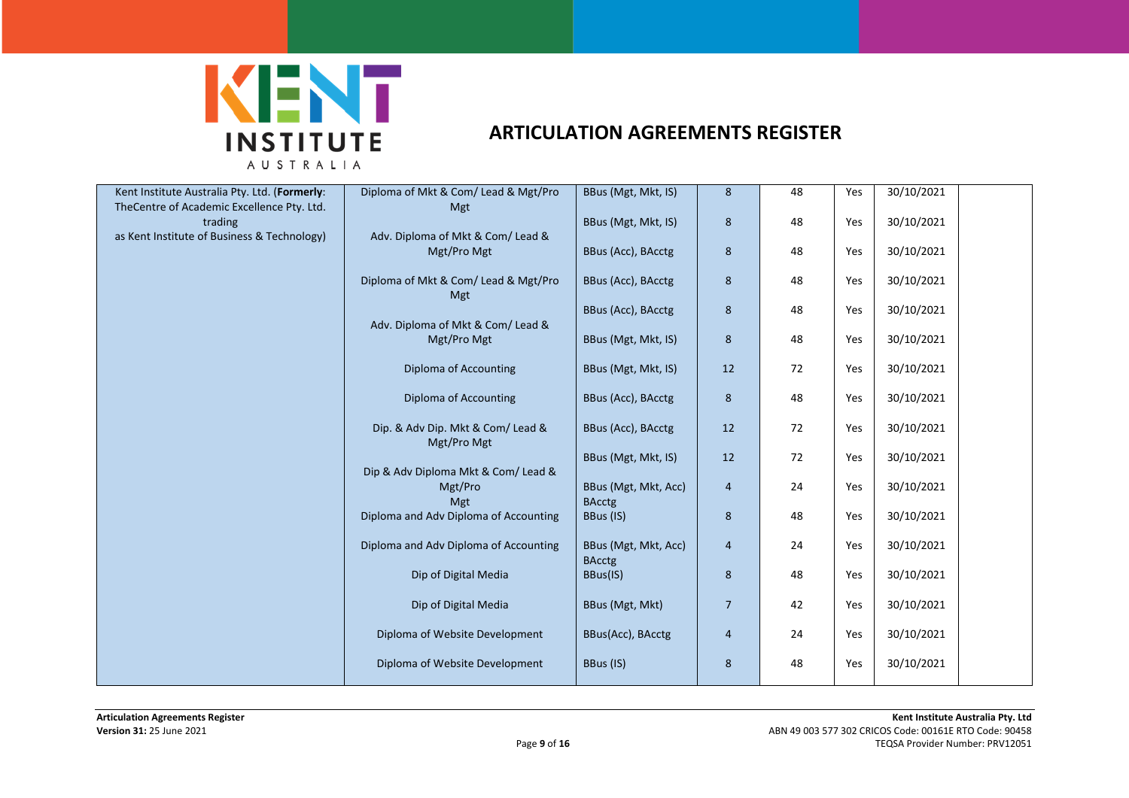

| Kent Institute Australia Pty. Ltd. (Formerly:<br>TheCentre of Academic Excellence Pty. Ltd. | Diploma of Mkt & Com/ Lead & Mgt/Pro<br><b>Mgt</b>    | BBus (Mgt, Mkt, IS)                   | $\bf 8$        | 48 | Yes | 30/10/2021 |
|---------------------------------------------------------------------------------------------|-------------------------------------------------------|---------------------------------------|----------------|----|-----|------------|
| trading                                                                                     |                                                       | BBus (Mgt, Mkt, IS)                   | 8              | 48 | Yes | 30/10/2021 |
| as Kent Institute of Business & Technology)                                                 | Adv. Diploma of Mkt & Com/ Lead &<br>Mgt/Pro Mgt      | BBus (Acc), BAcctg                    | 8              | 48 | Yes | 30/10/2021 |
|                                                                                             | Diploma of Mkt & Com/ Lead & Mgt/Pro                  | BBus (Acc), BAcctg                    | 8              | 48 | Yes | 30/10/2021 |
|                                                                                             | <b>Mgt</b>                                            | BBus (Acc), BAcctg                    | $\bf 8$        | 48 | Yes | 30/10/2021 |
|                                                                                             | Adv. Diploma of Mkt & Com/ Lead &<br>Mgt/Pro Mgt      | BBus (Mgt, Mkt, IS)                   | $8\phantom{1}$ | 48 | Yes | 30/10/2021 |
|                                                                                             | <b>Diploma of Accounting</b>                          | BBus (Mgt, Mkt, IS)                   | 12             | 72 | Yes | 30/10/2021 |
|                                                                                             | Diploma of Accounting                                 | BBus (Acc), BAcctg                    | 8              | 48 | Yes | 30/10/2021 |
|                                                                                             | Dip. & Adv Dip. Mkt & Com/ Lead &<br>Mgt/Pro Mgt      | BBus (Acc), BAcctg                    | 12             | 72 | Yes | 30/10/2021 |
|                                                                                             |                                                       | BBus (Mgt, Mkt, IS)                   | 12             | 72 | Yes | 30/10/2021 |
|                                                                                             | Dip & Adv Diploma Mkt & Com/ Lead &<br>Mgt/Pro<br>Mgt | BBus (Mgt, Mkt, Acc)<br><b>BAcctg</b> | $\overline{4}$ | 24 | Yes | 30/10/2021 |
|                                                                                             | Diploma and Adv Diploma of Accounting                 | BBus (IS)                             | 8              | 48 | Yes | 30/10/2021 |
|                                                                                             | Diploma and Adv Diploma of Accounting                 | BBus (Mgt, Mkt, Acc)<br><b>BAcctg</b> | $\overline{4}$ | 24 | Yes | 30/10/2021 |
|                                                                                             | Dip of Digital Media                                  | BBus(IS)                              | 8              | 48 | Yes | 30/10/2021 |
|                                                                                             | Dip of Digital Media                                  | BBus (Mgt, Mkt)                       | $\overline{7}$ | 42 | Yes | 30/10/2021 |
|                                                                                             | Diploma of Website Development                        | BBus(Acc), BAcctg                     | $\overline{4}$ | 24 | Yes | 30/10/2021 |
|                                                                                             | Diploma of Website Development                        | BBus (IS)                             | 8              | 48 | Yes | 30/10/2021 |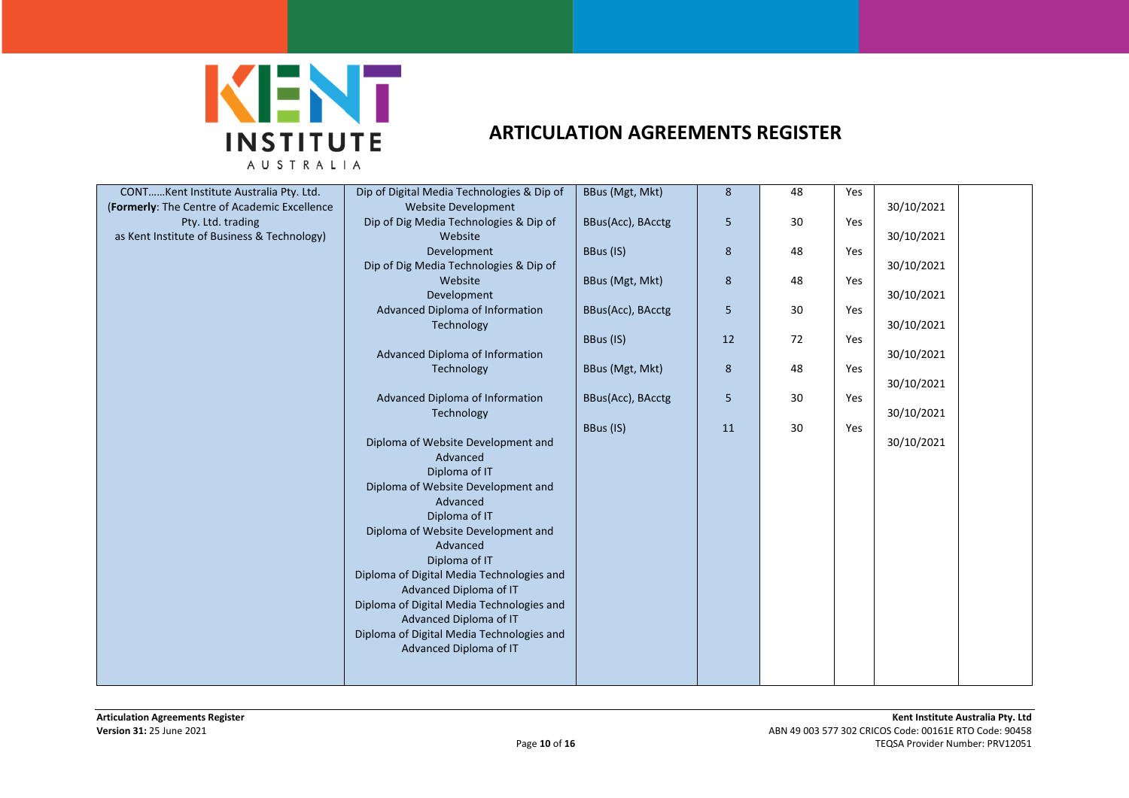

| CONTKent Institute Australia Pty. Ltd.       | Dip of Digital Media Technologies & Dip of                                                    | BBus (Mgt, Mkt)   | 8  | 48 | Yes |            |
|----------------------------------------------|-----------------------------------------------------------------------------------------------|-------------------|----|----|-----|------------|
| (Formerly: The Centre of Academic Excellence | Website Development                                                                           |                   |    |    |     | 30/10/2021 |
| Pty. Ltd. trading                            | Dip of Dig Media Technologies & Dip of                                                        | BBus(Acc), BAcctg | 5  | 30 | Yes |            |
|                                              | Website                                                                                       |                   |    |    |     |            |
| as Kent Institute of Business & Technology)  |                                                                                               |                   |    |    |     | 30/10/2021 |
|                                              | Development                                                                                   | BBus (IS)         | 8  | 48 | Yes |            |
|                                              | Dip of Dig Media Technologies & Dip of                                                        |                   |    |    |     | 30/10/2021 |
|                                              | Website                                                                                       | BBus (Mgt, Mkt)   | 8  | 48 | Yes |            |
|                                              | Development                                                                                   |                   |    |    |     | 30/10/2021 |
|                                              | Advanced Diploma of Information                                                               | BBus(Acc), BAcctg | 5  | 30 | Yes |            |
|                                              | Technology                                                                                    |                   |    |    |     | 30/10/2021 |
|                                              |                                                                                               | BBus (IS)         | 12 | 72 | Yes |            |
|                                              | Advanced Diploma of Information                                                               |                   |    |    |     | 30/10/2021 |
|                                              | Technology                                                                                    | BBus (Mgt, Mkt)   | 8  | 48 | Yes |            |
|                                              |                                                                                               |                   |    |    |     | 30/10/2021 |
|                                              | Advanced Diploma of Information                                                               | BBus(Acc), BAcctg | 5  | 30 | Yes |            |
|                                              | Technology                                                                                    |                   |    |    |     | 30/10/2021 |
|                                              |                                                                                               | BBus (IS)         | 11 | 30 | Yes |            |
|                                              | Diploma of Website Development and                                                            |                   |    |    |     | 30/10/2021 |
|                                              | Advanced                                                                                      |                   |    |    |     |            |
|                                              | Diploma of IT                                                                                 |                   |    |    |     |            |
|                                              | Diploma of Website Development and                                                            |                   |    |    |     |            |
|                                              | Advanced                                                                                      |                   |    |    |     |            |
|                                              | Diploma of IT                                                                                 |                   |    |    |     |            |
|                                              | Diploma of Website Development and                                                            |                   |    |    |     |            |
|                                              | Advanced                                                                                      |                   |    |    |     |            |
|                                              | Diploma of IT                                                                                 |                   |    |    |     |            |
|                                              | Diploma of Digital Media Technologies and                                                     |                   |    |    |     |            |
|                                              | Advanced Diploma of IT                                                                        |                   |    |    |     |            |
|                                              | Diploma of Digital Media Technologies and                                                     |                   |    |    |     |            |
|                                              |                                                                                               |                   |    |    |     |            |
|                                              |                                                                                               |                   |    |    |     |            |
|                                              |                                                                                               |                   |    |    |     |            |
|                                              |                                                                                               |                   |    |    |     |            |
|                                              |                                                                                               |                   |    |    |     |            |
|                                              | Advanced Diploma of IT<br>Diploma of Digital Media Technologies and<br>Advanced Diploma of IT |                   |    |    |     |            |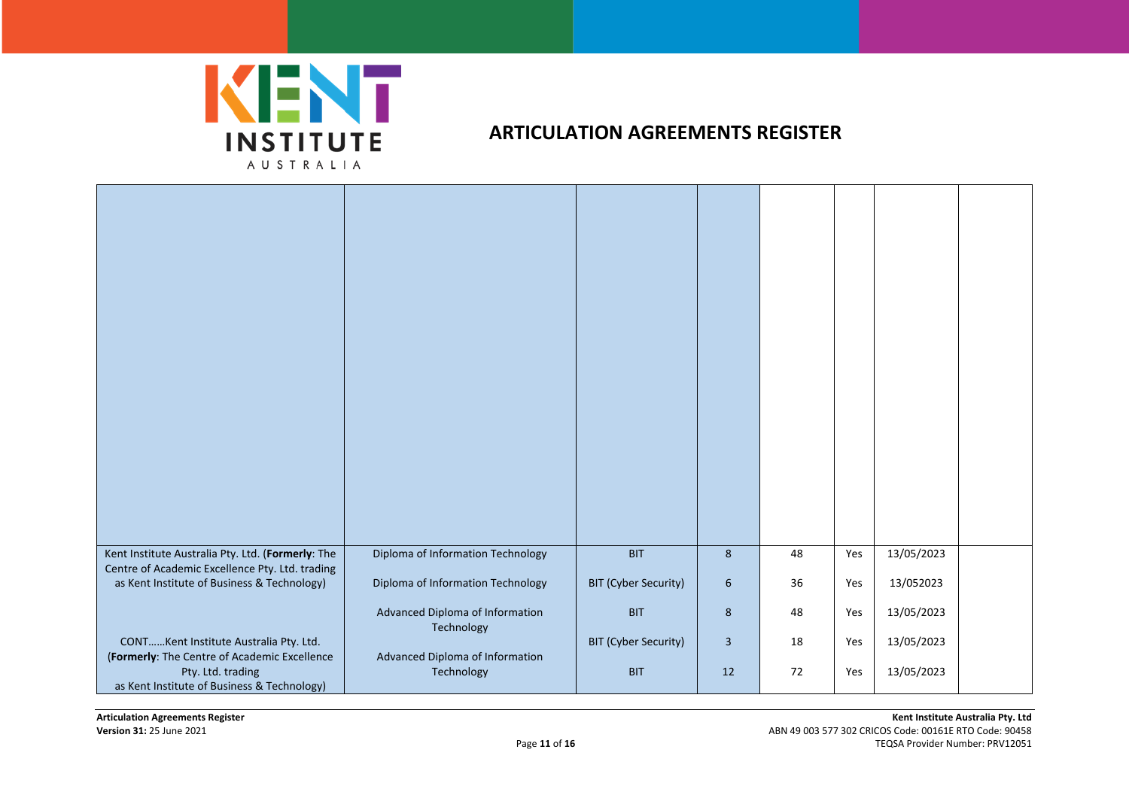

| Kent Institute Australia Pty. Ltd. (Formerly: The<br>Centre of Academic Excellence Pty. Ltd. trading<br>as Kent Institute of Business & Technology)        | Diploma of Information Technology<br>Diploma of Information Technology | <b>BIT</b><br><b>BIT (Cyber Security)</b> | $8\phantom{1}$<br>6  | 48<br>36 | Yes<br>Yes | 13/05/2023<br>13/052023  |  |
|------------------------------------------------------------------------------------------------------------------------------------------------------------|------------------------------------------------------------------------|-------------------------------------------|----------------------|----------|------------|--------------------------|--|
|                                                                                                                                                            | Advanced Diploma of Information<br>Technology                          | <b>BIT</b>                                | 8                    | 48       | Yes        | 13/05/2023               |  |
| CONTKent Institute Australia Pty. Ltd.<br>(Formerly: The Centre of Academic Excellence<br>Pty. Ltd. trading<br>as Kent Institute of Business & Technology) | Advanced Diploma of Information<br>Technology                          | <b>BIT (Cyber Security)</b><br><b>BIT</b> | $\overline{3}$<br>12 | 18<br>72 | Yes<br>Yes | 13/05/2023<br>13/05/2023 |  |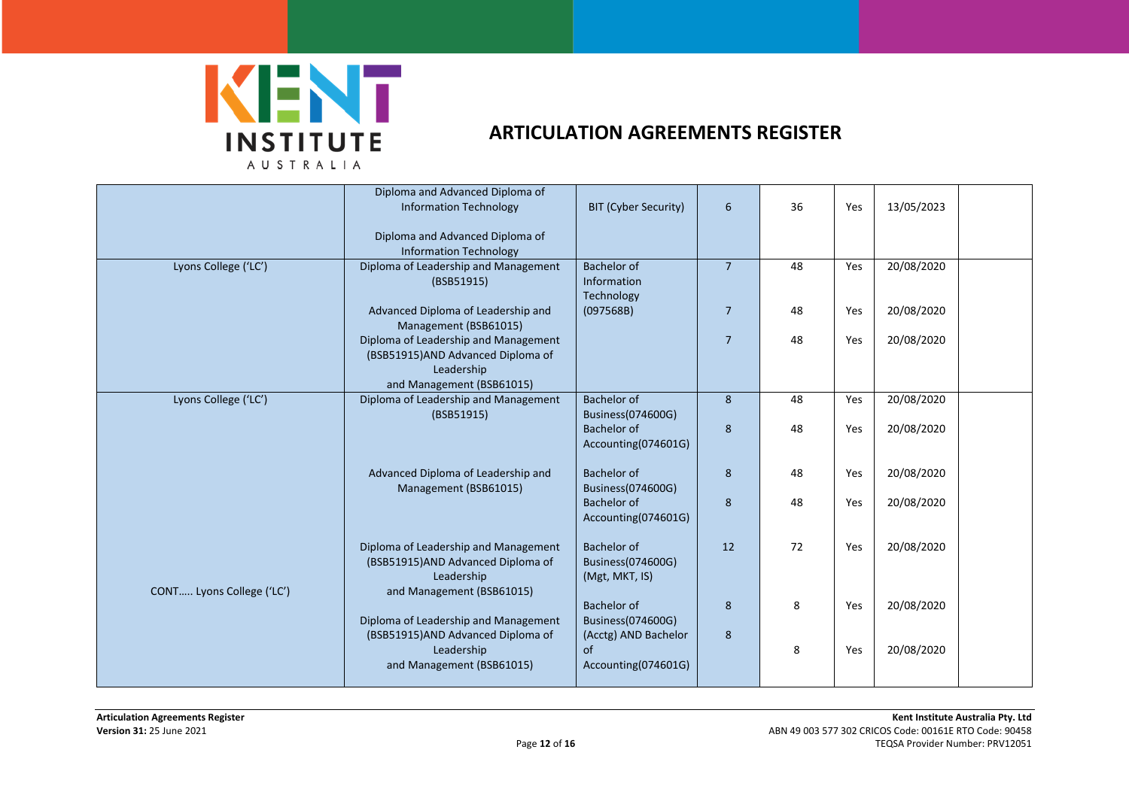

|                           | Diploma and Advanced Diploma of<br><b>Information Technology</b>                                                     | <b>BIT (Cyber Security)</b>                               | $6\phantom{1}$ | 36 | Yes | 13/05/2023 |  |
|---------------------------|----------------------------------------------------------------------------------------------------------------------|-----------------------------------------------------------|----------------|----|-----|------------|--|
|                           | Diploma and Advanced Diploma of<br><b>Information Technology</b>                                                     |                                                           |                |    |     |            |  |
| Lyons College ('LC')      | Diploma of Leadership and Management<br>(BSB51915)                                                                   | Bachelor of<br>Information<br>Technology                  | $\overline{7}$ | 48 | Yes | 20/08/2020 |  |
|                           | Advanced Diploma of Leadership and<br>Management (BSB61015)                                                          | (097568B)                                                 | $\overline{7}$ | 48 | Yes | 20/08/2020 |  |
|                           | Diploma of Leadership and Management<br>(BSB51915)AND Advanced Diploma of<br>Leadership                              |                                                           | $\overline{7}$ | 48 | Yes | 20/08/2020 |  |
|                           | and Management (BSB61015)                                                                                            |                                                           |                |    |     |            |  |
| Lyons College ('LC')      | Diploma of Leadership and Management<br>(BSB51915)                                                                   | Bachelor of<br>Business(074600G)                          | 8              | 48 | Yes | 20/08/2020 |  |
|                           |                                                                                                                      | <b>Bachelor of</b><br>Accounting(074601G)                 | 8              | 48 | Yes | 20/08/2020 |  |
|                           | Advanced Diploma of Leadership and<br>Management (BSB61015)                                                          | Bachelor of<br>Business(074600G)                          | 8              | 48 | Yes | 20/08/2020 |  |
|                           |                                                                                                                      | <b>Bachelor of</b><br>Accounting(074601G)                 | 8              | 48 | Yes | 20/08/2020 |  |
| CONT Lyons College ('LC') | Diploma of Leadership and Management<br>(BSB51915)AND Advanced Diploma of<br>Leadership<br>and Management (BSB61015) | <b>Bachelor of</b><br>Business(074600G)<br>(Mgt, MKT, IS) | 12             | 72 | Yes | 20/08/2020 |  |
|                           | Diploma of Leadership and Management                                                                                 | <b>Bachelor of</b><br>Business(074600G)                   | 8              | 8  | Yes | 20/08/2020 |  |
|                           | (BSB51915)AND Advanced Diploma of                                                                                    | (Acctg) AND Bachelor                                      | 8              |    |     |            |  |
|                           | Leadership<br>and Management (BSB61015)                                                                              | of<br>Accounting(074601G)                                 |                | 8  | Yes | 20/08/2020 |  |
|                           |                                                                                                                      |                                                           |                |    |     |            |  |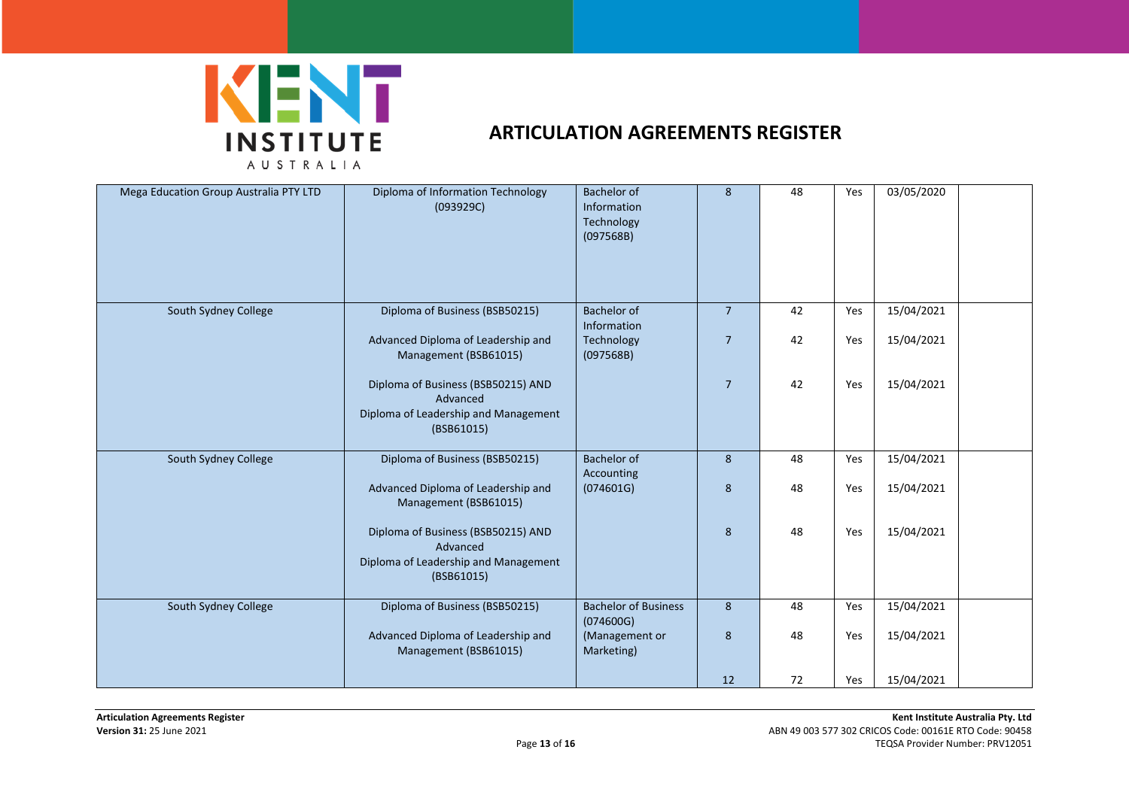

| Mega Education Group Australia PTY LTD | Diploma of Information Technology<br>(093929C)                                                       | <b>Bachelor of</b><br>Information<br>Technology<br>(097568B) | 8                                | 48       | Yes        | 03/05/2020               |  |
|----------------------------------------|------------------------------------------------------------------------------------------------------|--------------------------------------------------------------|----------------------------------|----------|------------|--------------------------|--|
| South Sydney College                   | Diploma of Business (BSB50215)<br>Advanced Diploma of Leadership and<br>Management (BSB61015)        | Bachelor of<br>Information<br>Technology<br>(097568B)        | $\overline{7}$<br>$\overline{7}$ | 42<br>42 | Yes<br>Yes | 15/04/2021<br>15/04/2021 |  |
|                                        | Diploma of Business (BSB50215) AND<br>Advanced<br>Diploma of Leadership and Management<br>(BSB61015) |                                                              | $\overline{7}$                   | 42       | Yes        | 15/04/2021               |  |
| South Sydney College                   | Diploma of Business (BSB50215)<br>Advanced Diploma of Leadership and<br>Management (BSB61015)        | <b>Bachelor of</b><br>Accounting<br>(074601G)                | 8<br>8                           | 48<br>48 | Yes<br>Yes | 15/04/2021<br>15/04/2021 |  |
|                                        | Diploma of Business (BSB50215) AND<br>Advanced<br>Diploma of Leadership and Management<br>(BSB61015) |                                                              | 8                                | 48       | Yes        | 15/04/2021               |  |
| South Sydney College                   | Diploma of Business (BSB50215)                                                                       | <b>Bachelor of Business</b><br>(074600G)                     | 8                                | 48       | Yes        | 15/04/2021               |  |
|                                        | Advanced Diploma of Leadership and<br>Management (BSB61015)                                          | (Management or<br>Marketing)                                 | 8                                | 48       | Yes        | 15/04/2021               |  |
|                                        |                                                                                                      |                                                              | 12                               | 72       | Yes        | 15/04/2021               |  |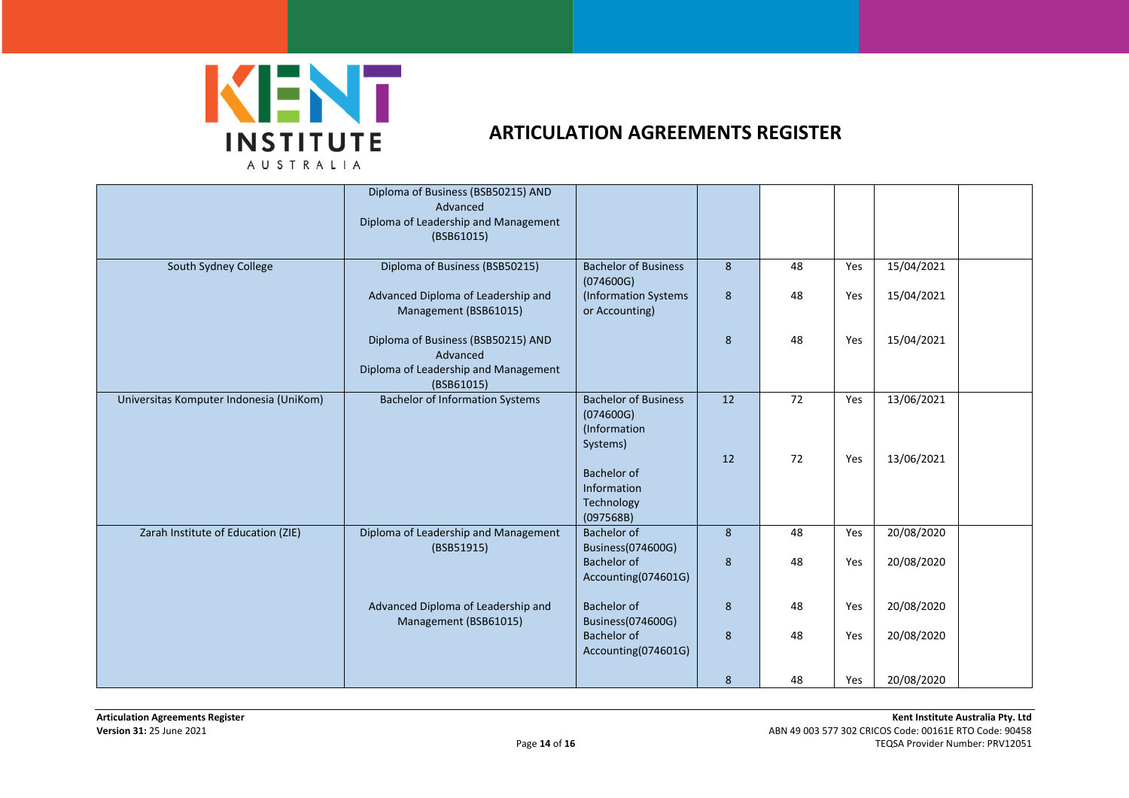

|                                         | Diploma of Business (BSB50215) AND<br>Advanced<br>Diploma of Leadership and Management<br>(BSB61015) |                                                                      |    |    |     |            |  |
|-----------------------------------------|------------------------------------------------------------------------------------------------------|----------------------------------------------------------------------|----|----|-----|------------|--|
| South Sydney College                    | Diploma of Business (BSB50215)                                                                       | <b>Bachelor of Business</b>                                          | 8  | 48 | Yes | 15/04/2021 |  |
|                                         | Advanced Diploma of Leadership and<br>Management (BSB61015)                                          | (074600G)<br>(Information Systems<br>or Accounting)                  | 8  | 48 | Yes | 15/04/2021 |  |
|                                         | Diploma of Business (BSB50215) AND<br>Advanced<br>Diploma of Leadership and Management<br>(BSB61015) |                                                                      | 8  | 48 | Yes | 15/04/2021 |  |
| Universitas Komputer Indonesia (UniKom) | <b>Bachelor of Information Systems</b>                                                               | <b>Bachelor of Business</b><br>(074600G)<br>(Information<br>Systems) | 12 | 72 | Yes | 13/06/2021 |  |
|                                         |                                                                                                      | Bachelor of<br>Information<br>Technology<br>(097568B)                | 12 | 72 | Yes | 13/06/2021 |  |
| Zarah Institute of Education (ZIE)      | Diploma of Leadership and Management<br>(BSB51915)                                                   | Bachelor of<br>Business(074600G)                                     | 8  | 48 | Yes | 20/08/2020 |  |
|                                         |                                                                                                      | Bachelor of<br>Accounting(074601G)                                   | 8  | 48 | Yes | 20/08/2020 |  |
|                                         | Advanced Diploma of Leadership and<br>Management (BSB61015)                                          | Bachelor of<br>Business(074600G)                                     | 8  | 48 | Yes | 20/08/2020 |  |
|                                         |                                                                                                      | <b>Bachelor of</b><br>Accounting(074601G)                            | 8  | 48 | Yes | 20/08/2020 |  |
|                                         |                                                                                                      |                                                                      | 8  | 48 | Yes | 20/08/2020 |  |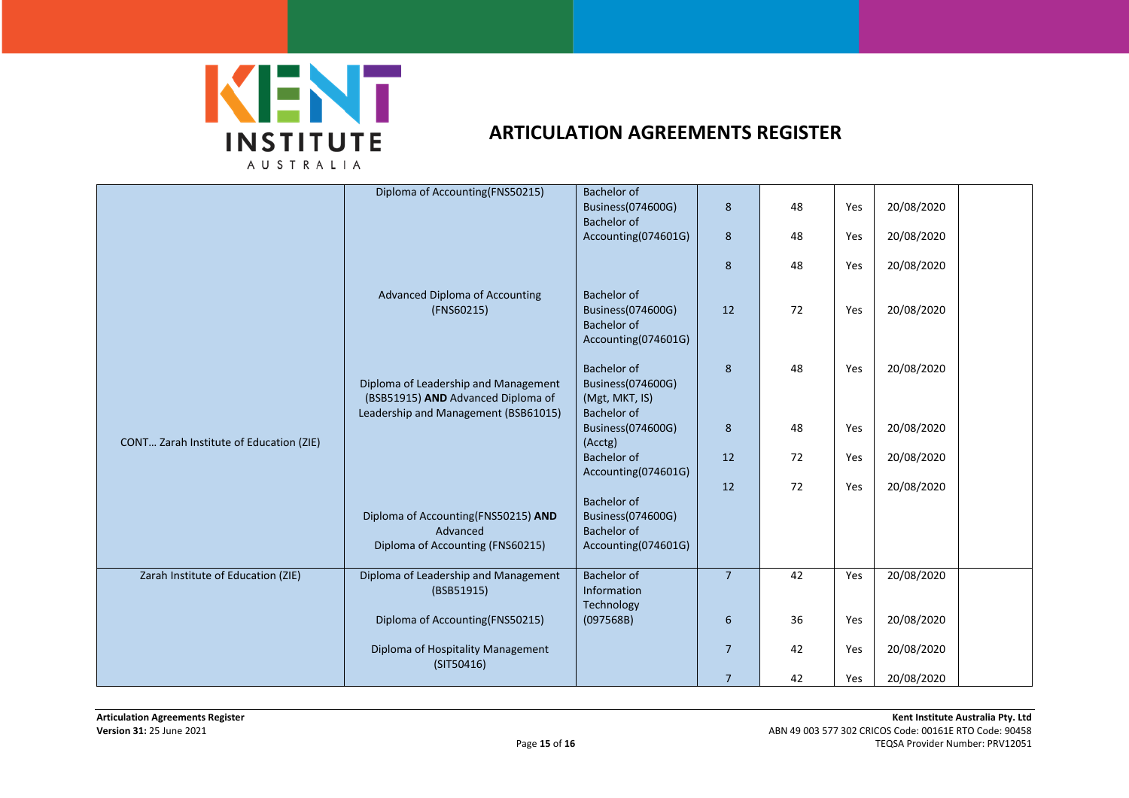

|                                         | Diploma of Accounting(FNS50215)                                                                                    | Bachelor of                                                              |                |    |     |            |
|-----------------------------------------|--------------------------------------------------------------------------------------------------------------------|--------------------------------------------------------------------------|----------------|----|-----|------------|
|                                         |                                                                                                                    | Business(074600G)                                                        | 8              | 48 | Yes | 20/08/2020 |
|                                         |                                                                                                                    | Bachelor of                                                              |                |    |     |            |
|                                         |                                                                                                                    | Accounting(074601G)                                                      | 8              | 48 | Yes | 20/08/2020 |
|                                         |                                                                                                                    |                                                                          | 8              | 48 | Yes | 20/08/2020 |
|                                         | <b>Advanced Diploma of Accounting</b><br>(FNS60215)                                                                | Bachelor of<br>Business(074600G)<br>Bachelor of<br>Accounting(074601G)   | 12             | 72 | Yes | 20/08/2020 |
|                                         | Diploma of Leadership and Management<br>(BSB51915) AND Advanced Diploma of<br>Leadership and Management (BSB61015) | Bachelor of<br>Business(074600G)<br>(Mgt, MKT, IS)<br><b>Bachelor of</b> | 8              | 48 | Yes | 20/08/2020 |
| CONT Zarah Institute of Education (ZIE) |                                                                                                                    | Business(074600G)<br>(Acctg)                                             | 8              | 48 | Yes | 20/08/2020 |
|                                         |                                                                                                                    | Bachelor of                                                              | 12             | 72 | Yes | 20/08/2020 |
|                                         |                                                                                                                    | Accounting(074601G)                                                      | 12             | 72 | Yes | 20/08/2020 |
|                                         | Diploma of Accounting(FNS50215) AND                                                                                | Bachelor of<br>Business(074600G)                                         |                |    |     |            |
|                                         | Advanced                                                                                                           | <b>Bachelor</b> of                                                       |                |    |     |            |
|                                         | Diploma of Accounting (FNS60215)                                                                                   | Accounting(074601G)                                                      |                |    |     |            |
| Zarah Institute of Education (ZIE)      | Diploma of Leadership and Management<br>(BSB51915)                                                                 | Bachelor of<br>Information<br>Technology                                 | $\overline{7}$ | 42 | Yes | 20/08/2020 |
|                                         | Diploma of Accounting(FNS50215)                                                                                    | (097568B)                                                                | 6              | 36 | Yes | 20/08/2020 |
|                                         | Diploma of Hospitality Management<br>(SIT50416)                                                                    |                                                                          | $\overline{7}$ | 42 | Yes | 20/08/2020 |
|                                         |                                                                                                                    |                                                                          | $\overline{7}$ | 42 | Yes | 20/08/2020 |